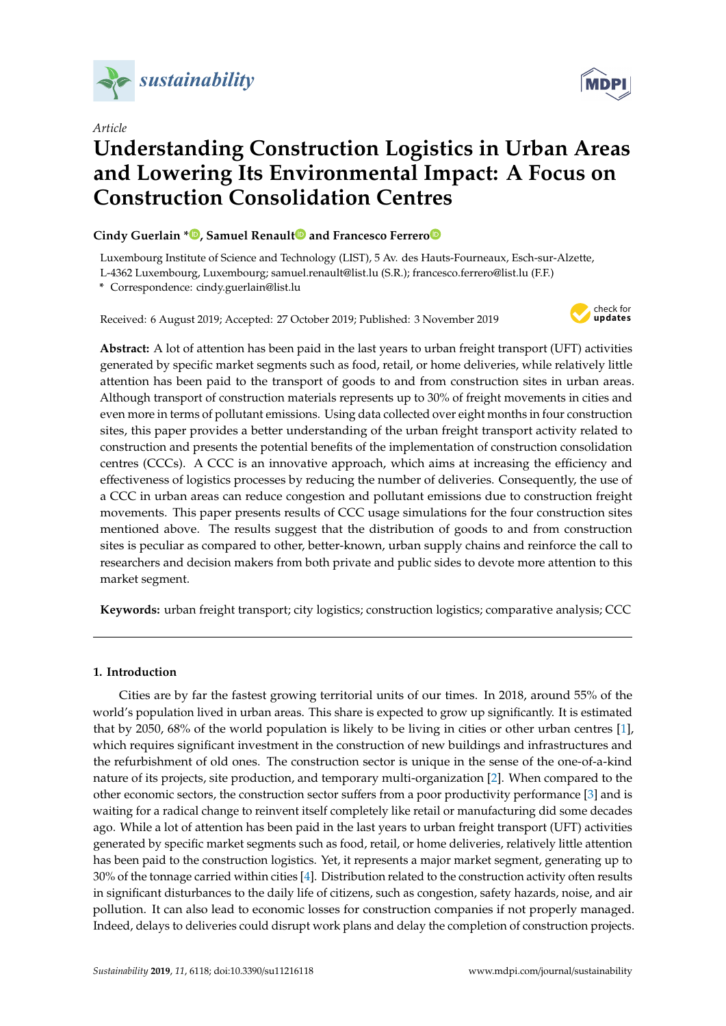

*Article*



# **Understanding Construction Logistics in Urban Areas and Lowering Its Environmental Impact: A Focus on Construction Consolidation Centres**

## **Cindy Guerlain [\\*](https://orcid.org/0000-0002-2617-4434) , Samuel Renaul[t](https://orcid.org/0000-0002-0472-1994) and Francesco Ferrer[o](https://orcid.org/0000-0003-0050-8667)**

Luxembourg Institute of Science and Technology (LIST), 5 Av. des Hauts-Fourneaux, Esch-sur-Alzette,

L-4362 Luxembourg, Luxembourg; samuel.renault@list.lu (S.R.); francesco.ferrero@list.lu (F.F.)

**\*** Correspondence: cindy.guerlain@list.lu

Received: 6 August 2019; Accepted: 27 October 2019; Published: 3 November 2019



**Abstract:** A lot of attention has been paid in the last years to urban freight transport (UFT) activities generated by specific market segments such as food, retail, or home deliveries, while relatively little attention has been paid to the transport of goods to and from construction sites in urban areas. Although transport of construction materials represents up to 30% of freight movements in cities and even more in terms of pollutant emissions. Using data collected over eight months in four construction sites, this paper provides a better understanding of the urban freight transport activity related to construction and presents the potential benefits of the implementation of construction consolidation centres (CCCs). A CCC is an innovative approach, which aims at increasing the efficiency and effectiveness of logistics processes by reducing the number of deliveries. Consequently, the use of a CCC in urban areas can reduce congestion and pollutant emissions due to construction freight movements. This paper presents results of CCC usage simulations for the four construction sites mentioned above. The results suggest that the distribution of goods to and from construction sites is peculiar as compared to other, better-known, urban supply chains and reinforce the call to researchers and decision makers from both private and public sides to devote more attention to this market segment.

**Keywords:** urban freight transport; city logistics; construction logistics; comparative analysis; CCC

## **1. Introduction**

Cities are by far the fastest growing territorial units of our times. In 2018, around 55% of the world's population lived in urban areas. This share is expected to grow up significantly. It is estimated that by 2050, 68% of the world population is likely to be living in cities or other urban centres [\[1\]](#page-9-0), which requires significant investment in the construction of new buildings and infrastructures and the refurbishment of old ones. The construction sector is unique in the sense of the one-of-a-kind nature of its projects, site production, and temporary multi-organization [\[2\]](#page-9-1). When compared to the other economic sectors, the construction sector suffers from a poor productivity performance [\[3\]](#page-9-2) and is waiting for a radical change to reinvent itself completely like retail or manufacturing did some decades ago. While a lot of attention has been paid in the last years to urban freight transport (UFT) activities generated by specific market segments such as food, retail, or home deliveries, relatively little attention has been paid to the construction logistics. Yet, it represents a major market segment, generating up to 30% of the tonnage carried within cities [\[4\]](#page-10-0). Distribution related to the construction activity often results in significant disturbances to the daily life of citizens, such as congestion, safety hazards, noise, and air pollution. It can also lead to economic losses for construction companies if not properly managed. Indeed, delays to deliveries could disrupt work plans and delay the completion of construction projects.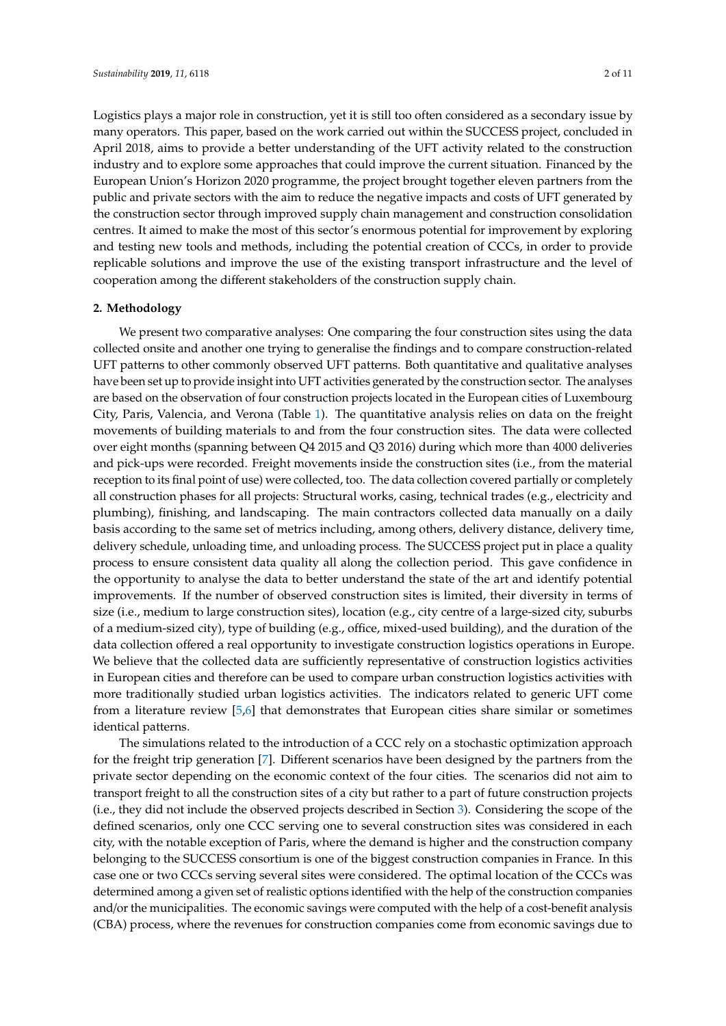Logistics plays a major role in construction, yet it is still too often considered as a secondary issue by many operators. This paper, based on the work carried out within the SUCCESS project, concluded in April 2018, aims to provide a better understanding of the UFT activity related to the construction industry and to explore some approaches that could improve the current situation. Financed by the European Union's Horizon 2020 programme, the project brought together eleven partners from the public and private sectors with the aim to reduce the negative impacts and costs of UFT generated by the construction sector through improved supply chain management and construction consolidation centres. It aimed to make the most of this sector's enormous potential for improvement by exploring and testing new tools and methods, including the potential creation of CCCs, in order to provide replicable solutions and improve the use of the existing transport infrastructure and the level of cooperation among the different stakeholders of the construction supply chain.

#### **2. Methodology**

We present two comparative analyses: One comparing the four construction sites using the data collected onsite and another one trying to generalise the findings and to compare construction-related UFT patterns to other commonly observed UFT patterns. Both quantitative and qualitative analyses have been set up to provide insight into UFT activities generated by the construction sector. The analyses are based on the observation of four construction projects located in the European cities of Luxembourg City, Paris, Valencia, and Verona (Table [1\)](#page-2-0). The quantitative analysis relies on data on the freight movements of building materials to and from the four construction sites. The data were collected over eight months (spanning between Q4 2015 and Q3 2016) during which more than 4000 deliveries and pick-ups were recorded. Freight movements inside the construction sites (i.e., from the material reception to its final point of use) were collected, too. The data collection covered partially or completely all construction phases for all projects: Structural works, casing, technical trades (e.g., electricity and plumbing), finishing, and landscaping. The main contractors collected data manually on a daily basis according to the same set of metrics including, among others, delivery distance, delivery time, delivery schedule, unloading time, and unloading process. The SUCCESS project put in place a quality process to ensure consistent data quality all along the collection period. This gave confidence in the opportunity to analyse the data to better understand the state of the art and identify potential improvements. If the number of observed construction sites is limited, their diversity in terms of size (i.e., medium to large construction sites), location (e.g., city centre of a large-sized city, suburbs of a medium-sized city), type of building (e.g., office, mixed-used building), and the duration of the data collection offered a real opportunity to investigate construction logistics operations in Europe. We believe that the collected data are sufficiently representative of construction logistics activities in European cities and therefore can be used to compare urban construction logistics activities with more traditionally studied urban logistics activities. The indicators related to generic UFT come from a literature review [\[5](#page-10-1)[,6\]](#page-10-2) that demonstrates that European cities share similar or sometimes identical patterns.

The simulations related to the introduction of a CCC rely on a stochastic optimization approach for the freight trip generation [\[7\]](#page-10-3). Different scenarios have been designed by the partners from the private sector depending on the economic context of the four cities. The scenarios did not aim to transport freight to all the construction sites of a city but rather to a part of future construction projects (i.e., they did not include the observed projects described in Section [3\)](#page-2-1). Considering the scope of the defined scenarios, only one CCC serving one to several construction sites was considered in each city, with the notable exception of Paris, where the demand is higher and the construction company belonging to the SUCCESS consortium is one of the biggest construction companies in France. In this case one or two CCCs serving several sites were considered. The optimal location of the CCCs was determined among a given set of realistic options identified with the help of the construction companies and/or the municipalities. The economic savings were computed with the help of a cost-benefit analysis (CBA) process, where the revenues for construction companies come from economic savings due to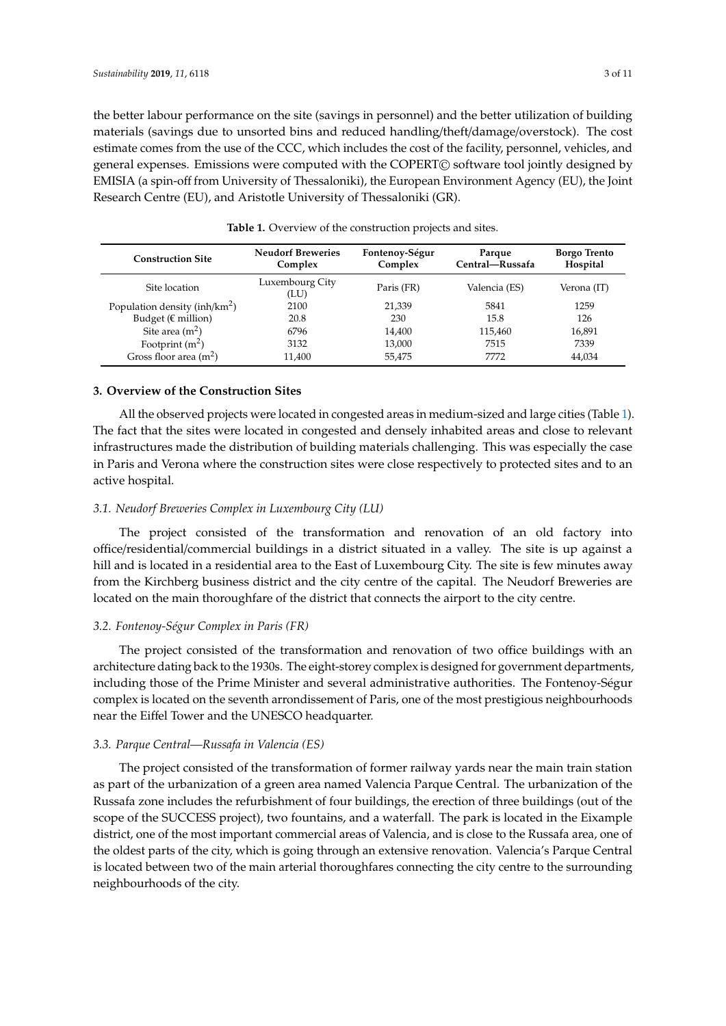the better labour performance on the site (savings in personnel) and the better utilization of building materials (savings due to unsorted bins and reduced handling/theft/damage/overstock). The cost estimate comes from the use of the CCC, which includes the cost of the facility, personnel, vehicles, and general expenses. Emissions were computed with the COPERT© software tool jointly designed by EMISIA (a spin-off from University of Thessaloniki), the European Environment Agency (EU), the Joint Research Centre (EU), and Aristotle University of Thessaloniki (GR).

<span id="page-2-0"></span>

| <b>Construction Site</b>          | <b>Neudorf Breweries</b><br>Complex | Fontenoy-Ségur<br>Complex | Parque<br>Central-Russafa | <b>Borgo Trento</b><br>Hospital |
|-----------------------------------|-------------------------------------|---------------------------|---------------------------|---------------------------------|
| Site location                     | Luxembourg City<br>(LU)             | Paris (FR)                | Valencia (ES)             | Verona (IT)                     |
| Population density (inh/ $km^2$ ) | 2100                                | 21,339                    | 5841                      | 1259                            |
| Budget ( $\epsilon$ million)      | 20.8                                | 230                       | 15.8                      | 126                             |
| Site area $(m2)$                  | 6796                                | 14,400                    | 115,460                   | 16,891                          |
| Footprint $(m^2)$                 | 3132                                | 13,000                    | 7515                      | 7339                            |
| Gross floor area $(m2)$           | 11,400                              | 55,475                    | 7772                      | 44,034                          |

**Table 1.** Overview of the construction projects and sites.

## <span id="page-2-1"></span>**3. Overview of the Construction Sites**

All the observed projects were located in congested areas in medium-sized and large cities (Table [1\)](#page-2-0). The fact that the sites were located in congested and densely inhabited areas and close to relevant infrastructures made the distribution of building materials challenging. This was especially the case in Paris and Verona where the construction sites were close respectively to protected sites and to an active hospital.

### *3.1. Neudorf Breweries Complex in Luxembourg City (LU)*

The project consisted of the transformation and renovation of an old factory into office/residential/commercial buildings in a district situated in a valley. The site is up against a hill and is located in a residential area to the East of Luxembourg City. The site is few minutes away from the Kirchberg business district and the city centre of the capital. The Neudorf Breweries are located on the main thoroughfare of the district that connects the airport to the city centre.

#### *3.2. Fontenoy-Ségur Complex in Paris (FR)*

The project consisted of the transformation and renovation of two office buildings with an architecture dating back to the 1930s. The eight-storey complex is designed for government departments, including those of the Prime Minister and several administrative authorities. The Fontenoy-Ségur complex is located on the seventh arrondissement of Paris, one of the most prestigious neighbourhoods near the Eiffel Tower and the UNESCO headquarter.

#### *3.3. Parque Central—Russafa in Valencia (ES)*

The project consisted of the transformation of former railway yards near the main train station as part of the urbanization of a green area named Valencia Parque Central. The urbanization of the Russafa zone includes the refurbishment of four buildings, the erection of three buildings (out of the scope of the SUCCESS project), two fountains, and a waterfall. The park is located in the Eixample district, one of the most important commercial areas of Valencia, and is close to the Russafa area, one of the oldest parts of the city, which is going through an extensive renovation. Valencia's Parque Central is located between two of the main arterial thoroughfares connecting the city centre to the surrounding neighbourhoods of the city.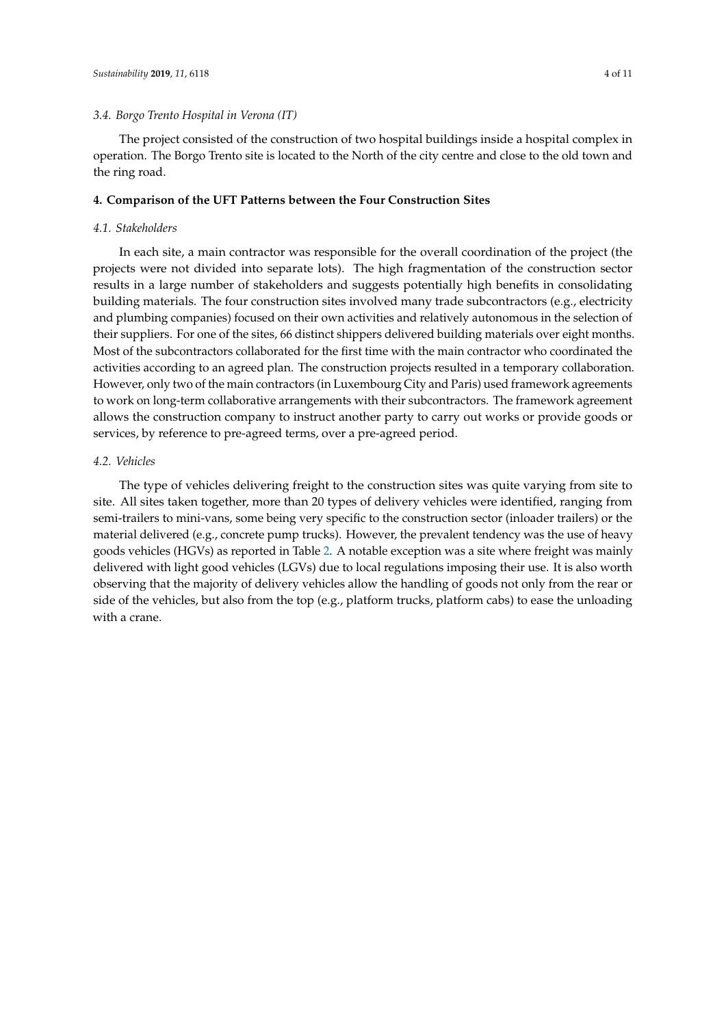#### *3.4. Borgo Trento Hospital in Verona (IT)*

The project consisted of the construction of two hospital buildings inside a hospital complex in operation. The Borgo Trento site is located to the North of the city centre and close to the old town and the ring road.

#### **4. Comparison of the UFT Patterns between the Four Construction Sites**

#### *4.1. Stakeholders*

In each site, a main contractor was responsible for the overall coordination of the project (the projects were not divided into separate lots). The high fragmentation of the construction sector results in a large number of stakeholders and suggests potentially high benefits in consolidating building materials. The four construction sites involved many trade subcontractors (e.g., electricity and plumbing companies) focused on their own activities and relatively autonomous in the selection of their suppliers. For one of the sites, 66 distinct shippers delivered building materials over eight months. Most of the subcontractors collaborated for the first time with the main contractor who coordinated the activities according to an agreed plan. The construction projects resulted in a temporary collaboration. However, only two of the main contractors (in Luxembourg City and Paris) used framework agreements to work on long-term collaborative arrangements with their subcontractors. The framework agreement allows the construction company to instruct another party to carry out works or provide goods or services, by reference to pre-agreed terms, over a pre-agreed period.

## *4.2. Vehicles*

The type of vehicles delivering freight to the construction sites was quite varying from site to site. All sites taken together, more than 20 types of delivery vehicles were identified, ranging from semi-trailers to mini-vans, some being very specific to the construction sector (inloader trailers) or the material delivered (e.g., concrete pump trucks). However, the prevalent tendency was the use of heavy goods vehicles (HGVs) as reported in Table [2.](#page-4-0) A notable exception was a site where freight was mainly delivered with light good vehicles (LGVs) due to local regulations imposing their use. It is also worth observing that the majority of delivery vehicles allow the handling of goods not only from the rear or side of the vehicles, but also from the top (e.g., platform trucks, platform cabs) to ease the unloading with a crane.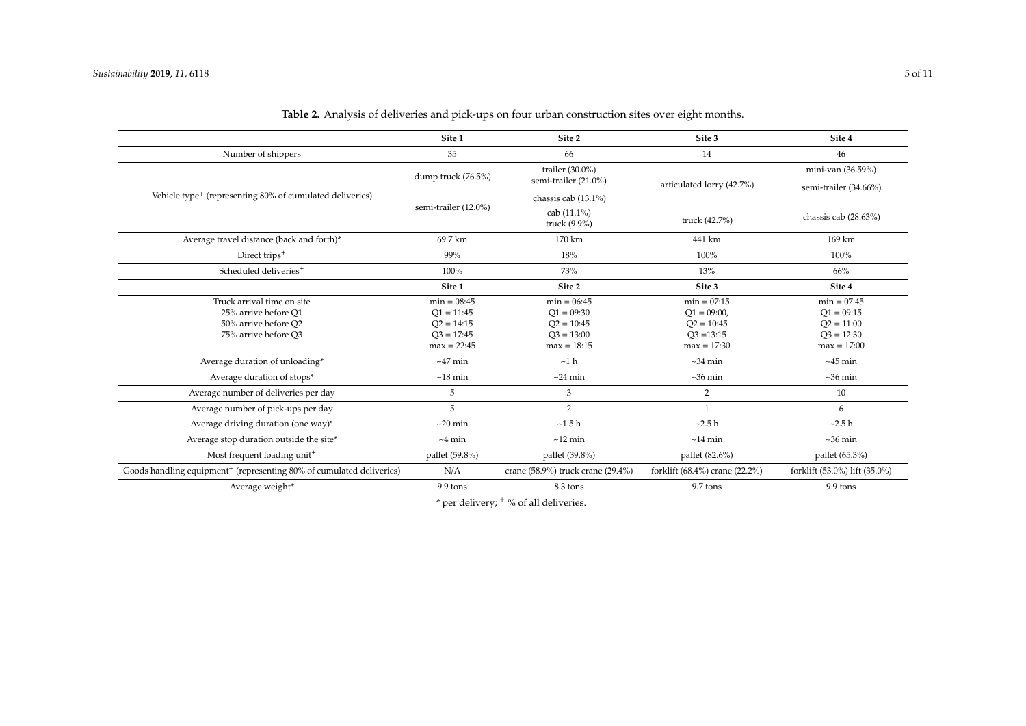<span id="page-4-0"></span>

|                                                                                  | Site 1               | Site 2                            | Site 3                         | Site 4                        |
|----------------------------------------------------------------------------------|----------------------|-----------------------------------|--------------------------------|-------------------------------|
| Number of shippers                                                               | 35                   | 66                                | 14                             | 46                            |
|                                                                                  | dump truck (76.5%)   | trailer $(30.0\%)$                |                                | mini-van (36.59%)             |
|                                                                                  |                      | semi-trailer (21.0%)              | articulated lorry (42.7%)      | semi-trailer (34.66%)         |
| Vehicle type <sup>+</sup> (representing 80% of cumulated deliveries)             | semi-trailer (12.0%) | chassis cab (13.1%)               |                                |                               |
|                                                                                  |                      | cab (11.1%)<br>truck (9.9%)       | truck (42.7%)                  | chassis cab (28.63%)          |
| Average travel distance (back and forth)*                                        | 69.7 km              | 170 km                            | 441 km                         | 169 km                        |
| Direct trips <sup>+</sup>                                                        | 99%                  | 18%                               | 100%                           | 100%                          |
| Scheduled deliveries <sup>+</sup>                                                | 100%                 | 73%                               | 13%                            | 66%                           |
|                                                                                  | Site 1               | Site 2                            | Site 3                         | Site 4                        |
| Truck arrival time on site                                                       | $min = 08:45$        | $min = 06:45$                     | $min = 07:15$                  | $min = 07:45$                 |
| 25% arrive before O1                                                             | $Q1 = 11:45$         | $Q1 = 09:30$                      | $Q1 = 09:00$ ,                 | $Q1 = 09:15$                  |
| 50% arrive before O2                                                             | $Q2 = 14:15$         | $Q2 = 10:45$                      | $Q2 = 10:45$                   | $O2 = 11:00$                  |
| 75% arrive before Q3                                                             | $O3 = 17:45$         | $O3 = 13:00$                      | $O3 = 13:15$                   | $O3 = 12:30$                  |
|                                                                                  | $max = 22:45$        | $max = 18:15$                     | $max = 17:30$                  | $max = 17:00$                 |
| Average duration of unloading*                                                   | $~17$ min            | $\sim$ 1 h                        | $\sim$ 34 min                  | $~15$ min                     |
| Average duration of stops*                                                       | $~18 \text{ min}$    | $\sim$ 24 min                     | $~5$ 6 min                     | $\sim$ 36 min                 |
| Average number of deliveries per day                                             | 5                    | 3                                 | $\overline{2}$                 | 10                            |
| Average number of pick-ups per day                                               | 5                    | $\overline{2}$                    | $\mathbf{1}$                   | 6                             |
| Average driving duration (one way)*                                              | $\sim$ 20 min        | $\sim1.5\;h$                      | $\sim$ 2.5 h                   | $\sim$ 2.5 h                  |
| Average stop duration outside the site*                                          | $~1$ min             | $\sim$ 12 min                     | $~14 \text{ min}$              | $\sim$ 36 min                 |
| Most frequent loading unit <sup>+</sup>                                          | pallet (59.8%)       | pallet (39.8%)                    | pallet (82.6%)                 | pallet (65.3%)                |
| Goods handling equipment <sup>+</sup> (representing 80% of cumulated deliveries) | N/A                  | crane (58.9%) truck crane (29.4%) | forklift (68.4%) crane (22.2%) | forklift (53.0%) lift (35.0%) |
| Average weight*                                                                  | 9.9 tons             | 8.3 tons                          | 9.7 tons                       | 9.9 tons                      |

## **Table 2.** Analysis of deliveries and pick-ups on four urban construction sites over eight months.

\* per delivery; <sup>+</sup> % of all deliveries.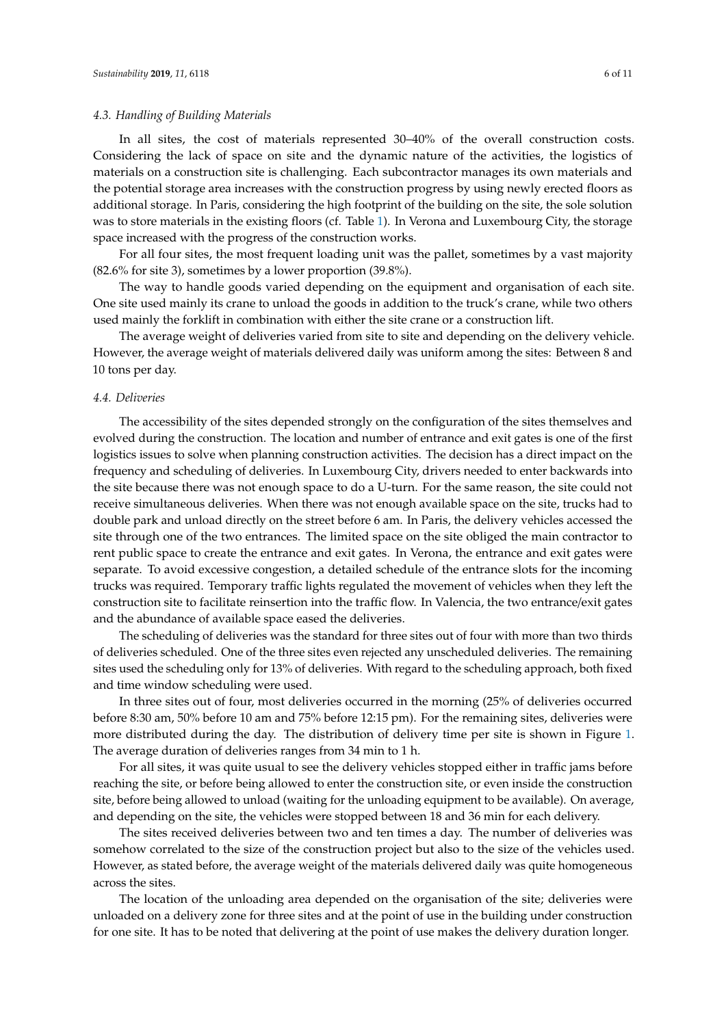#### *4.3. Handling of Building Materials*

In all sites, the cost of materials represented 30–40% of the overall construction costs. Considering the lack of space on site and the dynamic nature of the activities, the logistics of materials on a construction site is challenging. Each subcontractor manages its own materials and the potential storage area increases with the construction progress by using newly erected floors as additional storage. In Paris, considering the high footprint of the building on the site, the sole solution was to store materials in the existing floors (cf. Table [1\)](#page-2-0). In Verona and Luxembourg City, the storage space increased with the progress of the construction works.

For all four sites, the most frequent loading unit was the pallet, sometimes by a vast majority (82.6% for site 3), sometimes by a lower proportion (39.8%).

The way to handle goods varied depending on the equipment and organisation of each site. One site used mainly its crane to unload the goods in addition to the truck's crane, while two others used mainly the forklift in combination with either the site crane or a construction lift.

The average weight of deliveries varied from site to site and depending on the delivery vehicle. However, the average weight of materials delivered daily was uniform among the sites: Between 8 and 10 tons per day.

#### *4.4. Deliveries*

The accessibility of the sites depended strongly on the configuration of the sites themselves and evolved during the construction. The location and number of entrance and exit gates is one of the first logistics issues to solve when planning construction activities. The decision has a direct impact on the frequency and scheduling of deliveries. In Luxembourg City, drivers needed to enter backwards into the site because there was not enough space to do a U-turn. For the same reason, the site could not receive simultaneous deliveries. When there was not enough available space on the site, trucks had to double park and unload directly on the street before 6 am. In Paris, the delivery vehicles accessed the site through one of the two entrances. The limited space on the site obliged the main contractor to rent public space to create the entrance and exit gates. In Verona, the entrance and exit gates were separate. To avoid excessive congestion, a detailed schedule of the entrance slots for the incoming trucks was required. Temporary traffic lights regulated the movement of vehicles when they left the construction site to facilitate reinsertion into the traffic flow. In Valencia, the two entrance/exit gates and the abundance of available space eased the deliveries.

The scheduling of deliveries was the standard for three sites out of four with more than two thirds of deliveries scheduled. One of the three sites even rejected any unscheduled deliveries. The remaining sites used the scheduling only for 13% of deliveries. With regard to the scheduling approach, both fixed and time window scheduling were used.

In three sites out of four, most deliveries occurred in the morning (25% of deliveries occurred before 8:30 am, 50% before 10 am and 75% before 12:15 pm). For the remaining sites, deliveries were more distributed during the day. The distribution of delivery time per site is shown in Figure [1.](#page-6-0) The average duration of deliveries ranges from 34 min to 1 h.

For all sites, it was quite usual to see the delivery vehicles stopped either in traffic jams before reaching the site, or before being allowed to enter the construction site, or even inside the construction site, before being allowed to unload (waiting for the unloading equipment to be available). On average, and depending on the site, the vehicles were stopped between 18 and 36 min for each delivery.

The sites received deliveries between two and ten times a day. The number of deliveries was somehow correlated to the size of the construction project but also to the size of the vehicles used. However, as stated before, the average weight of the materials delivered daily was quite homogeneous across the sites.

The location of the unloading area depended on the organisation of the site; deliveries were unloaded on a delivery zone for three sites and at the point of use in the building under construction for one site. It has to be noted that delivering at the point of use makes the delivery duration longer.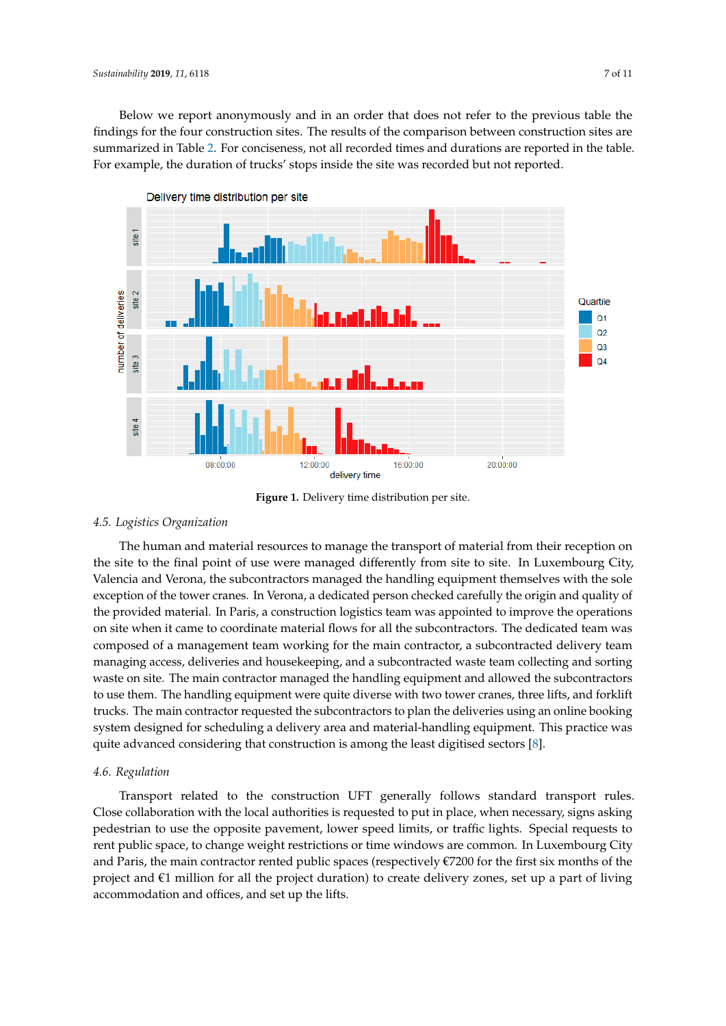Below we report anonymously and in an order that does not refer to the previous table the findings for the four construction sites. The results of the comparison between construction sites are summarized in Table [2.](#page-4-0) For conciseness, not all recorded times and durations are reported in the table. For example, the duration of trucks' stops inside the site was recorded but not reported.

<span id="page-6-0"></span>

**Figure 1.** Delivery time distribution per site. **Figure 1.** Delivery time distribution per site.

#### $E_{\rm g}$  sites, it sites, it was delivery vehicles stopped either in traffic stopped either in traffic  $\alpha$ *4.5. Logistics Organization*

The human and material resources to manage the transport of material from their reception on the site to the final point of use were managed differently from site to site. In Luxembourg City, Valencia and Verona, the subcontractors managed the handling equipment themselves with the sole exception of the tower cranes. In Verona, a dedicated person checked carefully the origin and quality of the provided material. In Paris, a construction logistics team was appointed to improve the operations on site when it came to coordinate material flows for all the subcontractors. The dedicated team was composed of a management team working for the main contractor, a subcontracted delivery team managing access, deliveries and housekeeping, and a subcontracted waste team collecting and sorting waste on site. The main contractor managed the handling equipment and allowed the subcontractors to use them. The handling equipment were quite diverse with two tower cranes, three lifts, and forklift trucks. The main contractor requested the subcontractors to plan the deliveries using an online booking system designed for scheduling a delivery area and material-handling equipment. This practice was quite advanced considering that construction is among the least digitised sectors [\[8\]](#page-10-4).  $\,$ 

#### summarized in Table 2. For conciseness, not all recorded times and durations are reported in the  $t_{\text{t}}$ . For example, the duration of trucks inside the site was recorded but not reported. *4.6. Regulation*

*4.5. Logistics Organization*  Close collaboration with the local authorities is requested to put in place, when necessary, signs asking pedestrian to use the opposite pavement, lower speed limits, or traffic lights. Special requests to rent public space, to change weight restrictions or time windows are common. In Luxembourg City and Paris, the main contractor rented public spaces (respectively  $\epsilon$ 7200 for the first six months of the project and  $€1$  million for all the project duration) to create delivery zones, set up a part of living accommodation and offices, and set up the lifts. Transport related to the construction UFT generally follows standard transport rules.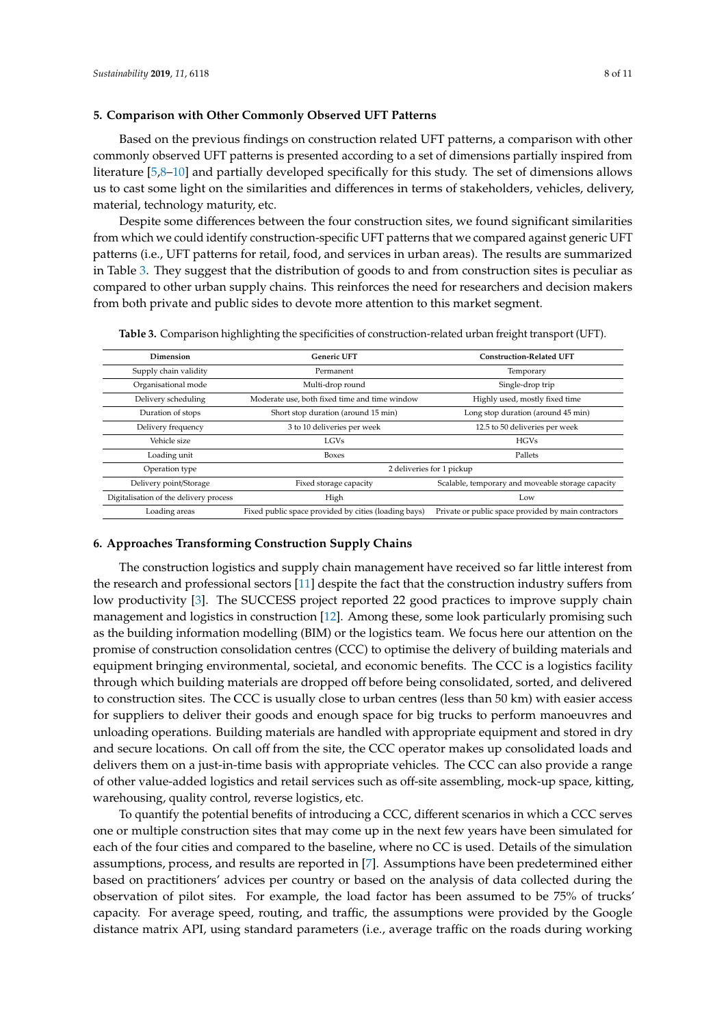#### **5. Comparison with Other Commonly Observed UFT Patterns**

Based on the previous findings on construction related UFT patterns, a comparison with other commonly observed UFT patterns is presented according to a set of dimensions partially inspired from literature [\[5,](#page-10-1)[8–](#page-10-4)[10\]](#page-10-5) and partially developed specifically for this study. The set of dimensions allows us to cast some light on the similarities and differences in terms of stakeholders, vehicles, delivery, material, technology maturity, etc.

Despite some differences between the four construction sites, we found significant similarities from which we could identify construction-specific UFT patterns that we compared against generic UFT patterns (i.e., UFT patterns for retail, food, and services in urban areas). The results are summarized in Table [3.](#page-7-0) They suggest that the distribution of goods to and from construction sites is peculiar as compared to other urban supply chains. This reinforces the need for researchers and decision makers from both private and public sides to devote more attention to this market segment.

| Dimension                              | <b>Generic UFT</b>                                   | <b>Construction-Related UFT</b>                      |  |  |
|----------------------------------------|------------------------------------------------------|------------------------------------------------------|--|--|
| Supply chain validity                  | Permanent                                            | Temporary                                            |  |  |
| Organisational mode                    | Multi-drop round                                     | Single-drop trip                                     |  |  |
| Delivery scheduling                    | Moderate use, both fixed time and time window        | Highly used, mostly fixed time                       |  |  |
| Duration of stops                      | Short stop duration (around 15 min)                  | Long stop duration (around 45 min)                   |  |  |
| Delivery frequency                     | 3 to 10 deliveries per week                          | 12.5 to 50 deliveries per week                       |  |  |
| Vehicle size                           | <b>LGVs</b>                                          | <b>HGVs</b>                                          |  |  |
| Loading unit                           | Boxes                                                | Pallets                                              |  |  |
| Operation type                         | 2 deliveries for 1 pickup                            |                                                      |  |  |
| Delivery point/Storage                 | Fixed storage capacity                               | Scalable, temporary and moveable storage capacity    |  |  |
| Digitalisation of the delivery process | High                                                 | Low                                                  |  |  |
| Loading areas                          | Fixed public space provided by cities (loading bays) | Private or public space provided by main contractors |  |  |

<span id="page-7-0"></span>**Table 3.** Comparison highlighting the specificities of construction-related urban freight transport (UFT).

#### **6. Approaches Transforming Construction Supply Chains**

The construction logistics and supply chain management have received so far little interest from the research and professional sectors [\[11\]](#page-10-6) despite the fact that the construction industry suffers from low productivity [\[3\]](#page-9-2). The SUCCESS project reported 22 good practices to improve supply chain management and logistics in construction [\[12\]](#page-10-7). Among these, some look particularly promising such as the building information modelling (BIM) or the logistics team. We focus here our attention on the promise of construction consolidation centres (CCC) to optimise the delivery of building materials and equipment bringing environmental, societal, and economic benefits. The CCC is a logistics facility through which building materials are dropped off before being consolidated, sorted, and delivered to construction sites. The CCC is usually close to urban centres (less than 50 km) with easier access for suppliers to deliver their goods and enough space for big trucks to perform manoeuvres and unloading operations. Building materials are handled with appropriate equipment and stored in dry and secure locations. On call off from the site, the CCC operator makes up consolidated loads and delivers them on a just-in-time basis with appropriate vehicles. The CCC can also provide a range of other value-added logistics and retail services such as off-site assembling, mock-up space, kitting, warehousing, quality control, reverse logistics, etc.

To quantify the potential benefits of introducing a CCC, different scenarios in which a CCC serves one or multiple construction sites that may come up in the next few years have been simulated for each of the four cities and compared to the baseline, where no CC is used. Details of the simulation assumptions, process, and results are reported in [\[7\]](#page-10-3). Assumptions have been predetermined either based on practitioners' advices per country or based on the analysis of data collected during the observation of pilot sites. For example, the load factor has been assumed to be 75% of trucks' capacity. For average speed, routing, and traffic, the assumptions were provided by the Google distance matrix API, using standard parameters (i.e., average traffic on the roads during working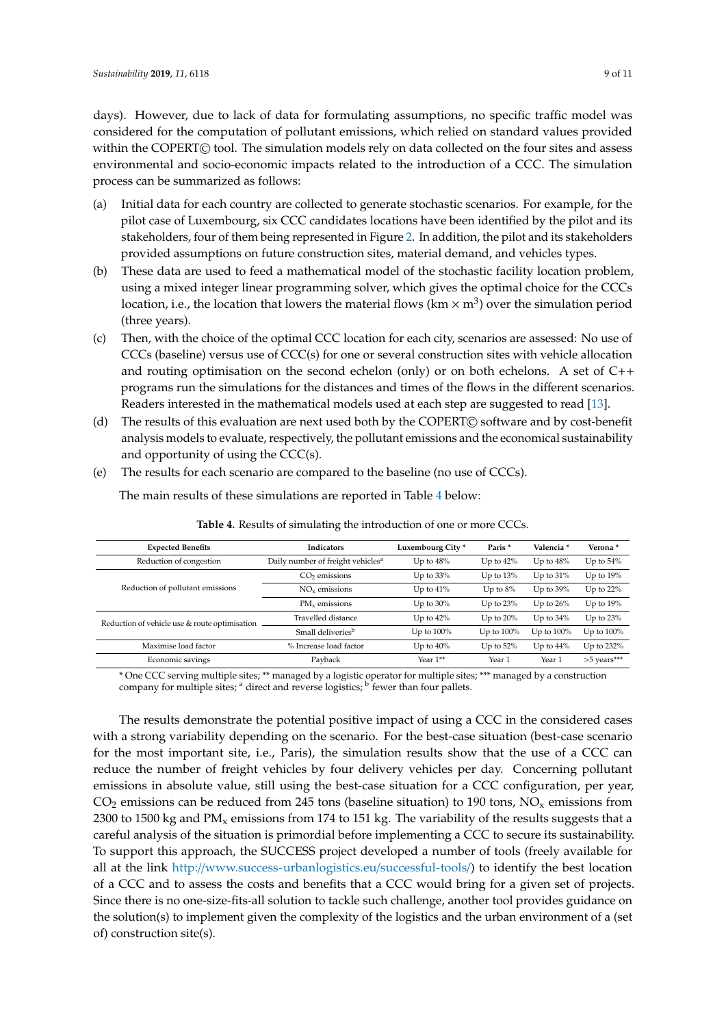days). However, due to lack of data for formulating assumptions, no specific traffic model was considered for the computation of pollutant emissions, which relied on standard values provided within the COPERT© tool. The simulation models rely on data collected on the four sites and assess environmental and socio-economic impacts related to the introduction of a CCC. The simulation process can be summarized as follows:

- Initial data for each country are collected to generate stochastic scenarios. For example, for the pilot case of Luxembourg, six CCC candidates locations have been identified by the pilot and its stakeholders, four of them being represented in Figure [2.](#page-9-3) In addition, the pilot and its stakeholders provided assumptions on future construction sites, material demand, and vehicles types.
- (b) These data are used to feed a mathematical model of the stochastic facility location problem, using a mixed integer linear programming solver, which gives the optimal choice for the CCCs location, i.e., the location that lowers the material flows (km  $\times$  m<sup>3</sup>) over the simulation period (three years).
- (c) Then, with the choice of the optimal CCC location for each city, scenarios are assessed: No use of CCCs (baseline) versus use of CCC(s) for one or several construction sites with vehicle allocation and routing optimisation on the second echelon (only) or on both echelons. A set of C++ programs run the simulations for the distances and times of the flows in the different scenarios. Readers interested in the mathematical models used at each step are suggested to read [\[13\]](#page-10-8).
- (d) The results of this evaluation are next used both by the COPERT© software and by cost-benefit analysis models to evaluate, respectively, the pollutant emissions and the economical sustainability and opportunity of using the CCC(s).
- (e) The results for each scenario are compared to the baseline (no use of CCCs).

The main results of these simulations are reported in Table [4](#page-8-0) below:

<span id="page-8-0"></span>

| <b>Expected Benefits</b>                      | Indicators                                    | Luxembourg City* | Paris <sup>*</sup> | Valencia *    | Verona *      |
|-----------------------------------------------|-----------------------------------------------|------------------|--------------------|---------------|---------------|
| Reduction of congestion                       | Daily number of freight vehicles <sup>a</sup> | Up to $48\%$     | Up to $42\%$       | Up to $48\%$  | Up to $54\%$  |
| Reduction of pollutant emissions              | $CO2$ emissions                               | Up to $33\%$     | Up to $13\%$       | Up to $31\%$  | Up to $19\%$  |
|                                               | $NOx$ emissions                               | Up to $41\%$     | Up to $8\%$        | Up to $39\%$  | Up to $22\%$  |
|                                               | $PMx$ emissions                               | Up to $30\%$     | Up to $23\%$       | Up to $26\%$  | Up to $19\%$  |
| Reduction of vehicle use & route optimisation | Travelled distance                            | Up to $42\%$     | Up to $20\%$       | Up to $34\%$  | Up to $23%$   |
|                                               | Small deliveries <sup>b</sup>                 | Up to $100\%$    | Up to $100\%$      | Up to $100\%$ | Up to $100\%$ |
| Maximise load factor                          | % Increase load factor                        | Up to $40\%$     | Up to $52\%$       | Up to $44\%$  | Up to 232%    |
| Economic savings                              | Payback                                       | Year 1**         | Year 1             | Year 1        | $>5$ years*** |

**Table 4.** Results of simulating the introduction of one or more CCCs.

\* One CCC serving multiple sites; \*\* managed by a logistic operator for multiple sites; \*\*\* managed by a construction company for multiple sites; <sup>a</sup> direct and reverse logistics; <sup>b</sup> fewer than four pallets.

The results demonstrate the potential positive impact of using a CCC in the considered cases with a strong variability depending on the scenario. For the best-case situation (best-case scenario for the most important site, i.e., Paris), the simulation results show that the use of a CCC can reduce the number of freight vehicles by four delivery vehicles per day. Concerning pollutant emissions in absolute value, still using the best-case situation for a CCC configuration, per year,  $CO<sub>2</sub>$  emissions can be reduced from 245 tons (baseline situation) to 190 tons,  $NO<sub>x</sub>$  emissions from 2300 to 1500 kg and  $PM_x$  emissions from 174 to 151 kg. The variability of the results suggests that a careful analysis of the situation is primordial before implementing a CCC to secure its sustainability. To support this approach, the SUCCESS project developed a number of tools (freely available for all at the link http://[www.success-urbanlogistics.eu](http://www.success-urbanlogistics.eu/successful-tools/)/successful-tools/) to identify the best location of a CCC and to assess the costs and benefits that a CCC would bring for a given set of projects. Since there is no one-size-fits-all solution to tackle such challenge, another tool provides guidance on the solution(s) to implement given the complexity of the logistics and the urban environment of a (set of) construction site(s).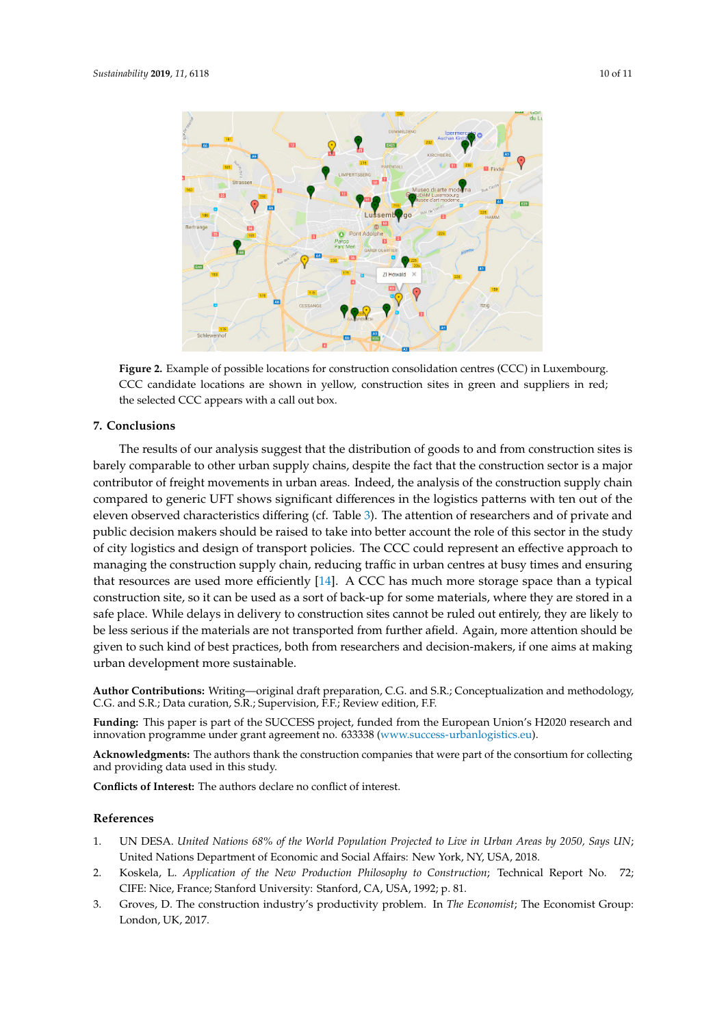<span id="page-9-3"></span>

**Figure 2.** Example of possible locations for construction consolidation centres (CCC) in Luxembourg. **Figure 2.** Example of possible locations for construction consolidation centres (CCC) in Luxembourg. CCC candidate locations are shown in yellow, construction sites in green and suppliers in red; the selected CCC appears with a call out box.

#### $T_{\rm T}$  main results of these simulations are reported in Table 4 below: **7. Conclusions**

barely comparable to other urban supply chains, despite the fact that the construction sector is a major **Expectition Contributor of freight movements in urban areas. Indeed, the analysis of the construction supply chain** compared to generic UFT shows significant differences in the logistics patterns with ten out of the eleven observed characteristics differing (cf. Table [3\)](#page-7-0). The attention of researchers and of private and<br>public decision makers should be raised to take into better account the role of this sector in the study public decision makers should be raised to take into better account the role of this sector in the study that resources are used more efficiently [\[14\]](#page-10-9). A CCC has much more storage space than a typical of city logistics and design of transport policies. The CCC could represent an effective approach to  $m$  and  $m$  to  $m$  and  $m$  to  $m$  and  $m$  to  $m$  and  $m$  to  $m$  and  $m$  to  $m$  and  $m$  to  $m$  and  $m$  to  $m$  and  $m$  to managing the construction supply chain, reducing traffic in urban centres at busy times and ensuring construction site, so it can be used as a sort of back-up for some materials, where they are stored in a safe place. While delays in delivery to construction sites cannot be ruled out entirely, they are likely to exact the series of the indiversity are not taken perfect from ration ancient spain, from entended to a given to such kind of best practices, both from researchers and decision-makers, if one aims at making urban development more sustainable.  $\mathbf{U}$ The results of our analysis suggest that the distribution of goods to and from construction sites is be less serious if the materials are not transported from further afield. Again, more attention should be

Author Contributions: Writing—original draft preparation, C.G. and S.R.; Conceptualization and methodology, C.G. and S.R.; Data curation, S.R.; Supervision,  $\overline{F}$ .F.; Review edition, F.F.  $\frac{1}{2}$ 

innovation programme under grant agreement no. 633338 [\(www.success-urbanlogistics.eu\)](www.success-urbanlogistics.eu). **Funding:** This paper is part of the SUCCESS project, funded from the European Union's H2020 research and

Acknowledgments: The authors thank the construction companies that were part of the consortium for collecting<br>and providing data used in this study. a construction company for multiple sites; a direct and reverse logistics; b fewer than four pallets. and providing data used in this study.

**Conflicts of Interest:** The authors declare no conflict of interest.

#### where the strong variability depending on the scenario. For the scenario for the scenario for the scenario for the scenario for the best-case scenario for the scenario for the scenario for the scenario for the scenario fo **References**

- <span id="page-9-0"></span>1. UN DESA. *United Nations 68% of the World Population Projected to Live in Urban Areas by 2050, Says UN*; United Nations Department of Economic and Social Affairs: New York, NY, USA, 2018.
- <span id="page-9-1"></span>2. Koskela, L. *Application of the New Production Philosophy to Construction*; Technical Report No. 72; CIFE: Nice, France; Stanford University: Stanford, CA, USA, 1992; p. 81.
- <span id="page-9-2"></span>3. Groves, D. The construction industry's productivity problem. In *The Economist*; The Economist Group:  $\lambda$  London, UK, 2017.